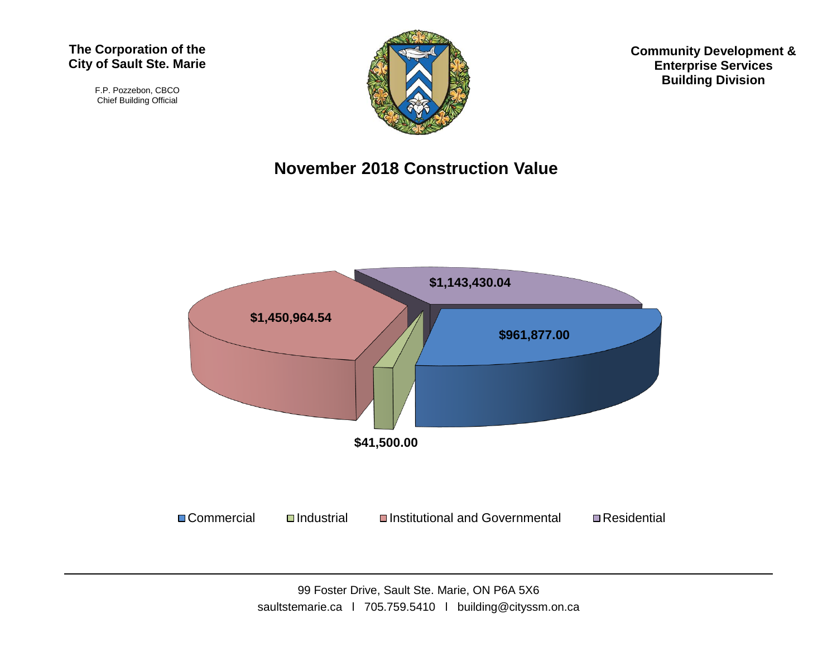#### **The Corporation of the City of Sault Ste. Marie**

F.P. Pozzebon, CBCO Chief Building Official



**Community Development & Enterprise Services Building Division**

#### **November 2018 Construction Value**

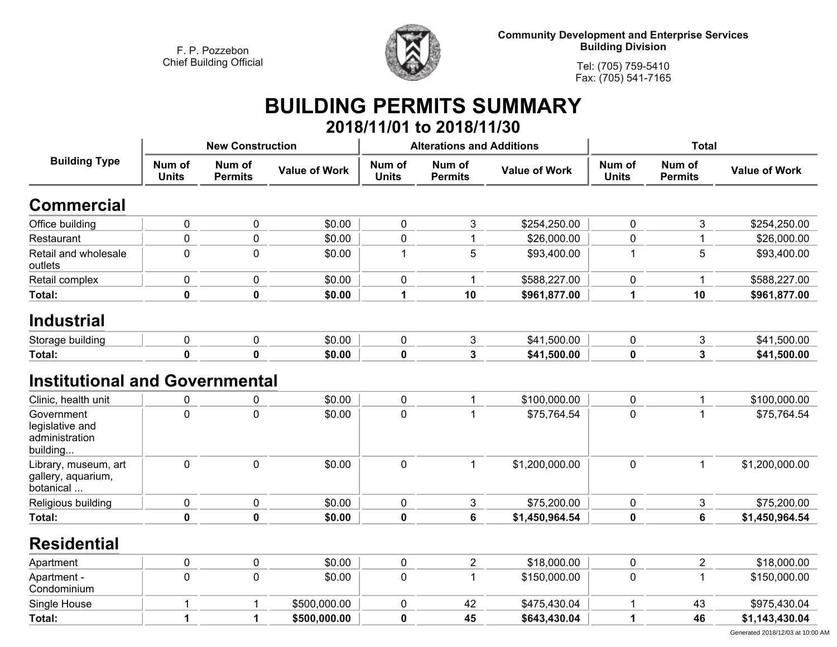

**Community Development and Enterprise Services Building Division**

**Tel: (705) 759-5410Fax: (705) 541-7165**

## **BUILDING PERMITS SUMMARY 2018/11/01 to 2018/11/30**

| <b>Building Type</b>                                        |                        | <b>New Construction</b>  |                      |                        | <b>Alterations and Additions</b> |                      | <b>Total</b>           |                          |                      |
|-------------------------------------------------------------|------------------------|--------------------------|----------------------|------------------------|----------------------------------|----------------------|------------------------|--------------------------|----------------------|
|                                                             | Num of<br><b>Units</b> | Num of<br><b>Permits</b> | <b>Value of Work</b> | Num of<br><b>Units</b> | Num of<br><b>Permits</b>         | <b>Value of Work</b> | Num of<br><b>Units</b> | Num of<br><b>Permits</b> | <b>Value of Work</b> |
| <b>Commercial</b>                                           |                        |                          |                      |                        |                                  |                      |                        |                          |                      |
| Office building                                             | 0                      | $\pmb{0}$                | \$0.00               | $\pmb{0}$              | $\mathsf 3$                      | \$254,250.00         | $\mathbf 0$            | 3                        | \$254,250.00         |
| Restaurant                                                  | 0                      | $\mathbf 0$              | \$0.00               | $\mathbf 0$            | 1                                | \$26,000.00          | $\mathbf 0$            | 1                        | \$26,000.00          |
| Retail and wholesale<br>outlets                             | 0                      | $\pmb{0}$                | \$0.00               | $\mathbf 1$            | $\sqrt{5}$                       | \$93,400.00          | 1                      | 5                        | \$93,400.00          |
| Retail complex                                              | 0                      | $\mathbf 0$              | \$0.00               | $\mathbf 0$            | $\mathbf{1}$                     | \$588,227.00         | $\mathbf 0$            | 1                        | \$588,227.00         |
| Total:                                                      | $\mathbf 0$            | $\mathbf 0$              | \$0.00               | $\mathbf 1$            | 10                               | \$961,877.00         | 1                      | 10                       | \$961,877.00         |
| <b>Industrial</b>                                           |                        |                          |                      |                        |                                  |                      |                        |                          |                      |
| Storage building                                            | 0                      | $\mathbf 0$              | \$0.00               | $\pmb{0}$              | $\mathfrak{S}$                   | \$41,500.00          | $\pmb{0}$              | 3                        | \$41,500.00          |
| Total:                                                      | 0                      | 0                        | \$0.00               | $\mathbf 0$            | $\mathbf{3}$                     | \$41,500.00          | $\mathbf 0$            | 3                        | \$41,500.00          |
| <b>Institutional and Governmental</b>                       |                        |                          |                      |                        |                                  |                      |                        |                          |                      |
| Clinic, health unit                                         | 0                      | 0                        | \$0.00               | $\pmb{0}$              | 1                                | \$100,000.00         | $\pmb{0}$              | 1                        | \$100,000.00         |
| Government<br>legislative and<br>administration<br>building | 0                      | $\mathbf 0$              | \$0.00               | $\mathbf 0$            | 1                                | \$75,764.54          | $\mathbf 0$            | $\mathbf 1$              | \$75,764.54          |
| Library, museum, art<br>gallery, aquarium,<br>botanical     | 0                      | $\pmb{0}$                | \$0.00               | $\pmb{0}$              | $\mathbf{1}$                     | \$1,200,000.00       | $\mathbf 0$            | $\mathbf{1}$             | \$1,200,000.00       |
| Religious building                                          | 0                      | $\mathbf 0$              | \$0.00               | 0                      | 3                                | \$75,200.00          | 0                      | 3                        | \$75,200.00          |
| Total:                                                      | $\mathbf 0$            | $\mathbf 0$              | \$0.00               | $\mathbf 0$            | $6\phantom{a}$                   | \$1,450,964.54       | $\mathbf 0$            | $6\phantom{a}$           | \$1,450,964.54       |
| <b>Residential</b>                                          |                        |                          |                      |                        |                                  |                      |                        |                          |                      |
| Apartment                                                   | 0                      | $\pmb{0}$                | \$0.00               | $\pmb{0}$              | $\overline{2}$                   | \$18,000.00          | $\pmb{0}$              | $\overline{\mathbf{c}}$  | \$18,000.00          |
| Apartment -<br>Condominium                                  | 0                      | $\mathbf 0$              | \$0.00               | $\mathbf 0$            | $\mathbf{1}$                     | \$150,000.00         | $\mathbf 0$            | $\mathbf{1}$             | \$150,000.00         |
| Single House                                                | 1                      | 1                        | \$500,000.00         | 0                      | 42                               | \$475,430.04         | 1                      | 43                       | \$975,430.04         |
| Total:                                                      | 1                      | 1                        | \$500,000.00         | $\mathbf 0$            | 45                               | \$643,430.04         | 1                      | 46                       | \$1,143,430.04       |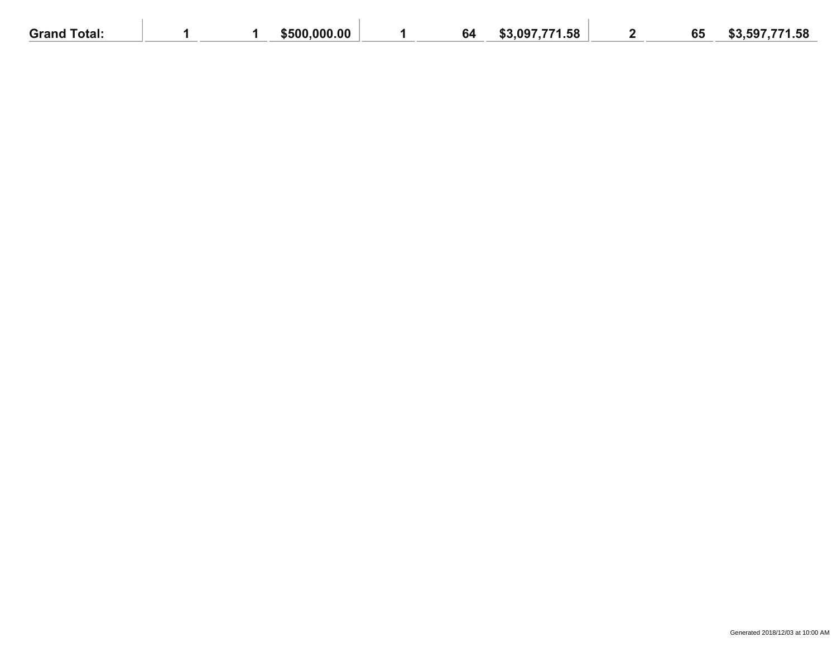| <b>Grand Total:</b> |  | \$500,000.00 | 64 | \$3,097,771.58 | 65 | \$3,597,771.58 |
|---------------------|--|--------------|----|----------------|----|----------------|
|                     |  |              |    |                |    |                |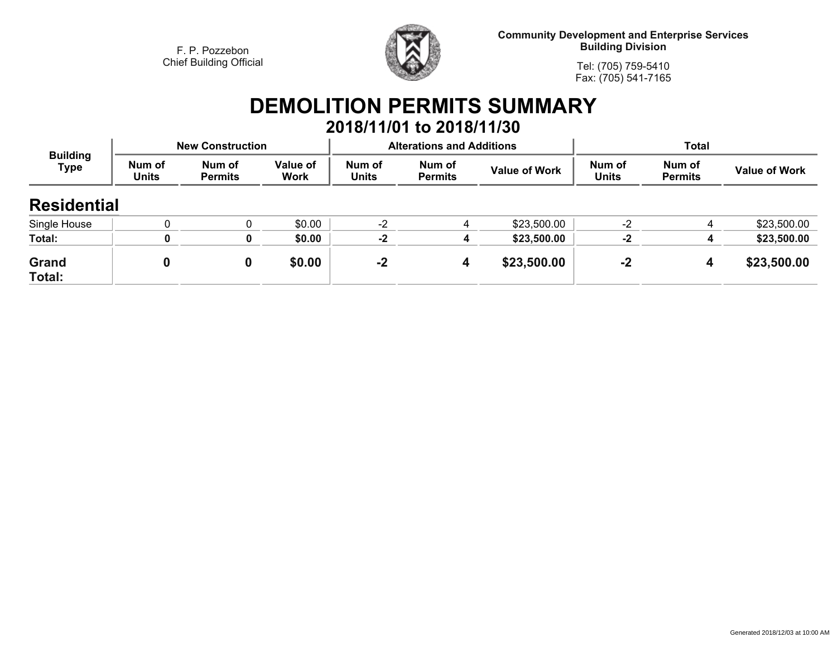

**Community Development and Enterprise Services Building Division**

**Tel: (705) 759-5410Fax: (705) 541-7165**

# **DEMOLITION PERMITS SUMMARY**

|                                |                        |                          |                  |                        | 2018/11/01 to 2018/11/30         |                      |                        |                          |                      |  |
|--------------------------------|------------------------|--------------------------|------------------|------------------------|----------------------------------|----------------------|------------------------|--------------------------|----------------------|--|
| <b>Building</b><br><b>Type</b> |                        | <b>New Construction</b>  |                  |                        | <b>Alterations and Additions</b> |                      | <b>Total</b>           |                          |                      |  |
|                                | Num of<br><b>Units</b> | Num of<br><b>Permits</b> | Value of<br>Work | Num of<br><b>Units</b> | Num of<br><b>Permits</b>         | <b>Value of Work</b> | Num of<br><b>Units</b> | Num of<br><b>Permits</b> | <b>Value of Work</b> |  |
| <b>Residential</b>             |                        |                          |                  |                        |                                  |                      |                        |                          |                      |  |
| Single House                   |                        |                          | \$0.00           | $-2$                   |                                  | \$23,500.00          | $-2$                   | 4                        | \$23,500.00          |  |
| Total:                         | 0                      | 0                        | \$0.00           | $-2$                   | 4                                | \$23,500.00          | $-2$                   | 4                        | \$23,500.00          |  |
| <b>Grand</b><br>Total:         | 0                      | 0                        | \$0.00           | $-2$                   | 4                                | \$23,500.00          | $-2$                   | 4                        | \$23,500.00          |  |